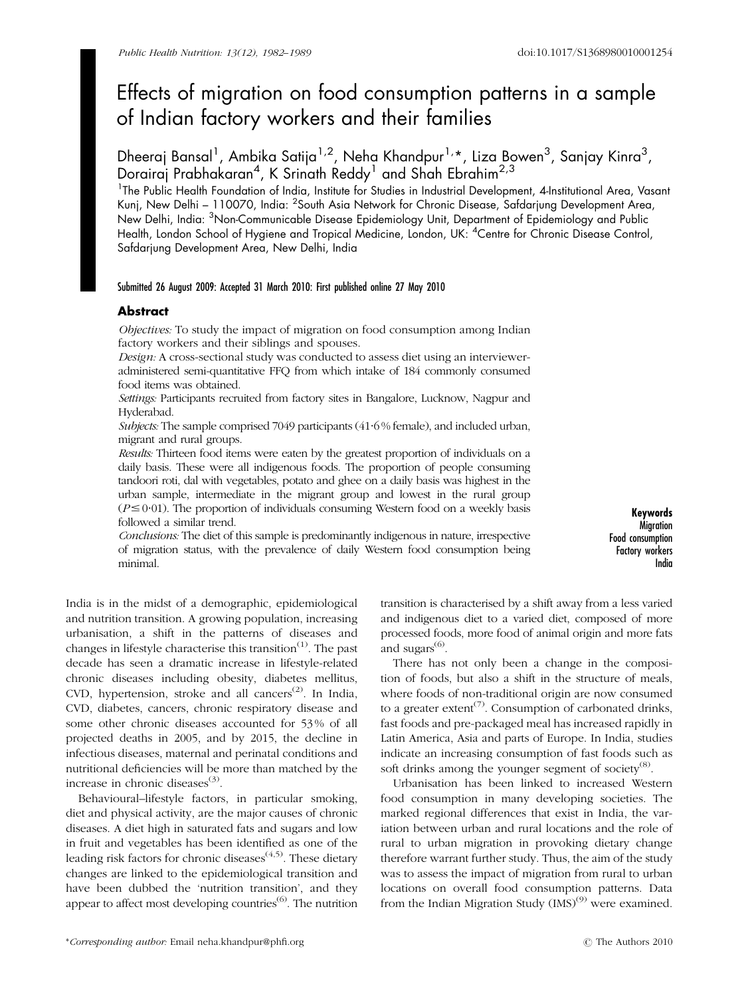# Effects of migration on food consumption patterns in a sample of Indian factory workers and their families

Dheeraj Bansal<sup>1</sup>, Ambika Satija<sup>1,2</sup>, Neha Khandpur<sup>1,</sup>\*, Liza Bowen<sup>3</sup>, Sanjay Kinra<sup>3</sup>, Dorairaj Prabhakaran $^4$ , K Srinath Reddy $^1$  and Shah Ebrahim $^{2,3}$ 

<sup>1</sup>The Public Health Foundation of India, Institute for Studies in Industrial Development, 4-Institutional Area, Vasant Kunj, New Delhi – 110070, India: <sup>2</sup>South Asia Network for Chronic Disease, Safdarjung Development Area, New Delhi, India: <sup>3</sup>Non-Communicable Disease Epidemiology Unit, Department of Epidemiology and Public Health, London School of Hygiene and Tropical Medicine, London, UK: <sup>4</sup> Centre for Chronic Disease Control, Safdarjung Development Area, New Delhi, India

# Submitted 26 August 2009: Accepted 31 March 2010: First published online 27 May 2010

# Abstract

Objectives: To study the impact of migration on food consumption among Indian factory workers and their siblings and spouses.

Design: A cross-sectional study was conducted to assess diet using an intervieweradministered semi-quantitative FFQ from which intake of 184 commonly consumed food items was obtained.

Settings: Participants recruited from factory sites in Bangalore, Lucknow, Nagpur and Hyderabad.

Subjects: The sample comprised 7049 participants (41.6% female), and included urban, migrant and rural groups.

Results: Thirteen food items were eaten by the greatest proportion of individuals on a daily basis. These were all indigenous foods. The proportion of people consuming tandoori roti, dal with vegetables, potato and ghee on a daily basis was highest in the urban sample, intermediate in the migrant group and lowest in the rural group  $(P \le 0.01)$ . The proportion of individuals consuming Western food on a weekly basis followed a similar trend.

Conclusions: The diet of this sample is predominantly indigenous in nature, irrespective of migration status, with the prevalence of daily Western food consumption being minimal.

Keywords **Migration** Food consumption Factory workers India

India is in the midst of a demographic, epidemiological and nutrition transition. A growing population, increasing urbanisation, a shift in the patterns of diseases and changes in lifestyle characterise this transition<sup> $(1)$ </sup>. The past decade has seen a dramatic increase in lifestyle-related chronic diseases including obesity, diabetes mellitus, CVD, hypertension, stroke and all cancers<sup>(2)</sup>. In India, CVD, diabetes, cancers, chronic respiratory disease and some other chronic diseases accounted for 53 % of all projected deaths in 2005, and by 2015, the decline in infectious diseases, maternal and perinatal conditions and nutritional deficiencies will be more than matched by the increase in chronic diseases $(3)$ .

Behavioural–lifestyle factors, in particular smoking, diet and physical activity, are the major causes of chronic diseases. A diet high in saturated fats and sugars and low in fruit and vegetables has been identified as one of the leading risk factors for chronic diseases<sup> $(4,5)$ </sup>. These dietary changes are linked to the epidemiological transition and have been dubbed the 'nutrition transition', and they appear to affect most developing countries<sup>(6)</sup>. The nutrition transition is characterised by a shift away from a less varied and indigenous diet to a varied diet, composed of more processed foods, more food of animal origin and more fats and sugars $^{(6)}$ .

There has not only been a change in the composition of foods, but also a shift in the structure of meals, where foods of non-traditional origin are now consumed to a greater extent<sup> $(7)$ </sup>. Consumption of carbonated drinks, fast foods and pre-packaged meal has increased rapidly in Latin America, Asia and parts of Europe. In India, studies indicate an increasing consumption of fast foods such as soft drinks among the younger segment of society<sup>(8)</sup>.

Urbanisation has been linked to increased Western food consumption in many developing societies. The marked regional differences that exist in India, the variation between urban and rural locations and the role of rural to urban migration in provoking dietary change therefore warrant further study. Thus, the aim of the study was to assess the impact of migration from rural to urban locations on overall food consumption patterns. Data from the Indian Migration Study  $(MS)^{(9)}$  were examined.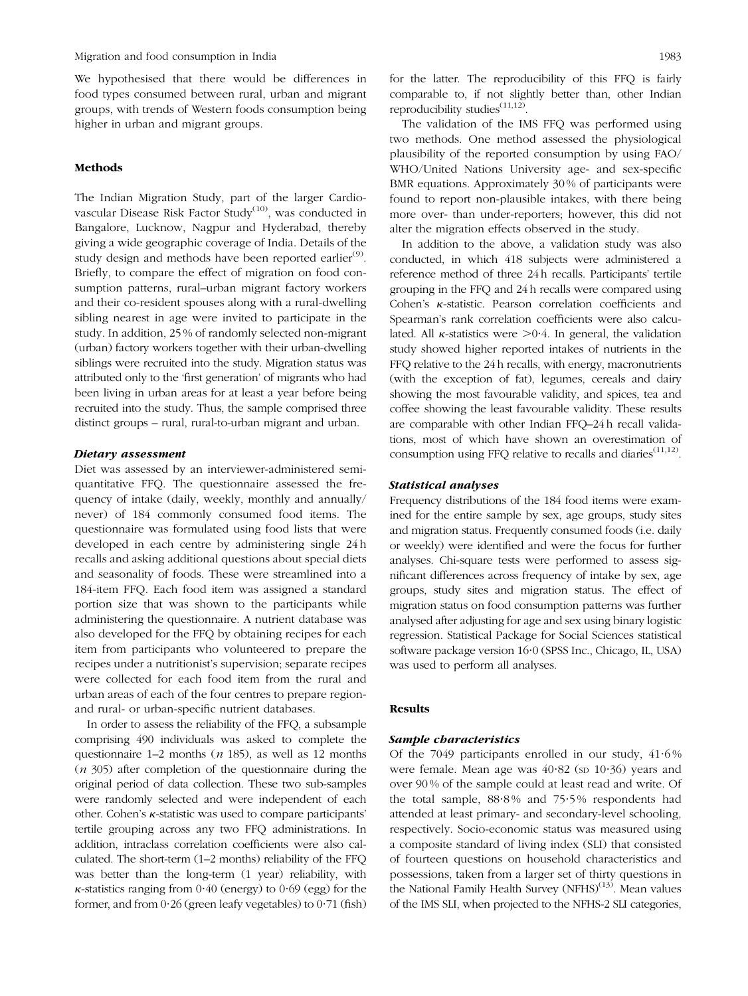We hypothesised that there would be differences in food types consumed between rural, urban and migrant groups, with trends of Western foods consumption being higher in urban and migrant groups.

# Methods

The Indian Migration Study, part of the larger Cardiovascular Disease Risk Factor Study<sup>(10)</sup>, was conducted in Bangalore, Lucknow, Nagpur and Hyderabad, thereby giving a wide geographic coverage of India. Details of the study design and methods have been reported earlier<sup>(9)</sup>. Briefly, to compare the effect of migration on food consumption patterns, rural–urban migrant factory workers and their co-resident spouses along with a rural-dwelling sibling nearest in age were invited to participate in the study. In addition, 25 % of randomly selected non-migrant (urban) factory workers together with their urban-dwelling siblings were recruited into the study. Migration status was attributed only to the 'first generation' of migrants who had been living in urban areas for at least a year before being recruited into the study. Thus, the sample comprised three distinct groups – rural, rural-to-urban migrant and urban.

#### Dietary assessment

Diet was assessed by an interviewer-administered semiquantitative FFQ. The questionnaire assessed the frequency of intake (daily, weekly, monthly and annually/ never) of 184 commonly consumed food items. The questionnaire was formulated using food lists that were developed in each centre by administering single 24 h recalls and asking additional questions about special diets and seasonality of foods. These were streamlined into a 184-item FFQ. Each food item was assigned a standard portion size that was shown to the participants while administering the questionnaire. A nutrient database was also developed for the FFQ by obtaining recipes for each item from participants who volunteered to prepare the recipes under a nutritionist's supervision; separate recipes were collected for each food item from the rural and urban areas of each of the four centres to prepare regionand rural- or urban-specific nutrient databases.

In order to assess the reliability of the FFQ, a subsample comprising 490 individuals was asked to complete the questionnaire  $1-2$  months  $(n 185)$ , as well as  $12$  months  $(n 305)$  after completion of the questionnaire during the original period of data collection. These two sub-samples were randomly selected and were independent of each other. Cohen's k-statistic was used to compare participants' tertile grouping across any two FFQ administrations. In addition, intraclass correlation coefficients were also calculated. The short-term (1–2 months) reliability of the FFQ was better than the long-term (1 year) reliability, with  $\kappa$ -statistics ranging from 0.40 (energy) to 0.69 (egg) for the former, and from  $0.26$  (green leafy vegetables) to  $0.71$  (fish) for the latter. The reproducibility of this FFQ is fairly comparable to, if not slightly better than, other Indian reproducibility studies<sup> $(11,12)$ </sup>.

The validation of the IMS FFQ was performed using two methods. One method assessed the physiological plausibility of the reported consumption by using FAO/ WHO/United Nations University age- and sex-specific BMR equations. Approximately 30 % of participants were found to report non-plausible intakes, with there being more over- than under-reporters; however, this did not alter the migration effects observed in the study.

In addition to the above, a validation study was also conducted, in which 418 subjects were administered a reference method of three 24 h recalls. Participants' tertile grouping in the FFQ and 24 h recalls were compared using Cohen's  $\kappa$ -statistic. Pearson correlation coefficients and Spearman's rank correlation coefficients were also calculated. All  $\kappa$ -statistics were  $\geq 0.4$ . In general, the validation study showed higher reported intakes of nutrients in the FFQ relative to the 24 h recalls, with energy, macronutrients (with the exception of fat), legumes, cereals and dairy showing the most favourable validity, and spices, tea and coffee showing the least favourable validity. These results are comparable with other Indian FFQ–24 h recall validations, most of which have shown an overestimation of consumption using FFQ relative to recalls and diaries $(11,12)$ .

## Statistical analyses

Frequency distributions of the 184 food items were examined for the entire sample by sex, age groups, study sites and migration status. Frequently consumed foods (i.e. daily or weekly) were identified and were the focus for further analyses. Chi-square tests were performed to assess significant differences across frequency of intake by sex, age groups, study sites and migration status. The effect of migration status on food consumption patterns was further analysed after adjusting for age and sex using binary logistic regression. Statistical Package for Social Sciences statistical software package version 16?0 (SPSS Inc., Chicago, IL, USA) was used to perform all analyses.

## Results

# Sample characteristics

Of the 7049 participants enrolled in our study,  $41.6\%$ were female. Mean age was  $40.82$  (sp  $10.36$ ) years and over 90 % of the sample could at least read and write. Of the total sample,  $88.8\%$  and  $75.5\%$  respondents had attended at least primary- and secondary-level schooling, respectively. Socio-economic status was measured using a composite standard of living index (SLI) that consisted of fourteen questions on household characteristics and possessions, taken from a larger set of thirty questions in the National Family Health Survey (NFHS) $(13)$ . Mean values of the IMS SLI, when projected to the NFHS-2 SLI categories,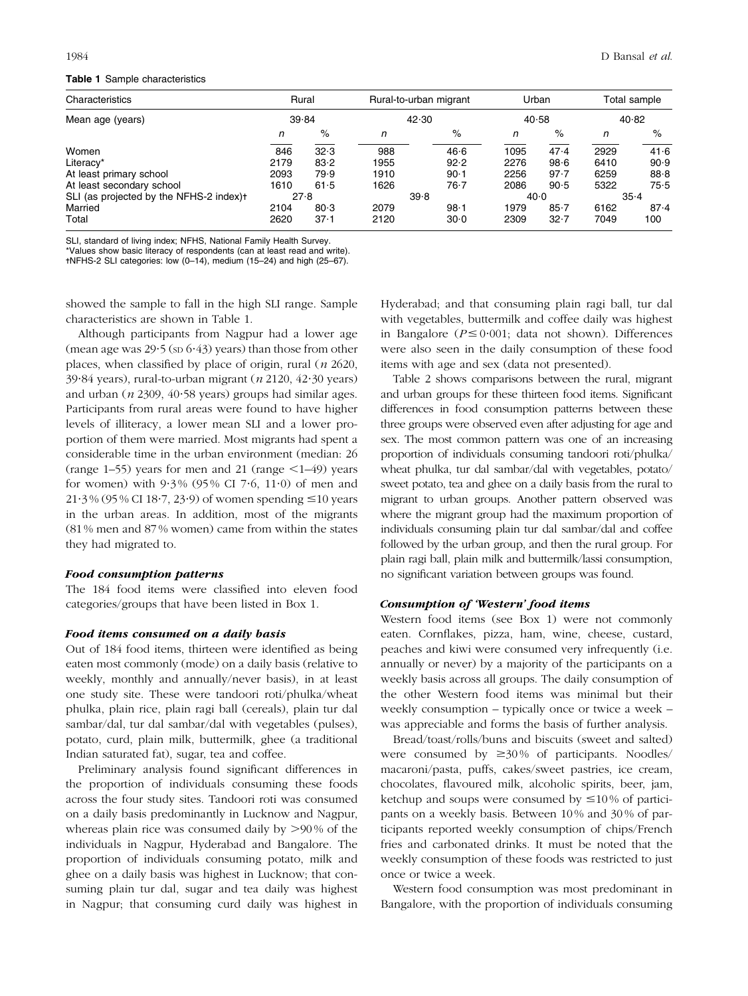## Table 1 Sample characteristics

| Characteristics                         | Rural<br>39.84 |          |      | Rural-to-urban migrant | Urban<br>40.58 |          | Total sample<br>40.82 |          |  |
|-----------------------------------------|----------------|----------|------|------------------------|----------------|----------|-----------------------|----------|--|
| Mean age (years)                        |                |          |      | 42.30                  |                |          |                       |          |  |
|                                         | n              | $\%$     | n    | $\%$                   | n              | $\%$     | n                     | $\%$     |  |
| Women                                   | 846            | 32.3     | 988  | 46.6                   | 1095           | 47.4     | 2929                  | 41.6     |  |
| Literacy*                               | 2179           | 83.2     | 1955 | 92.2                   | 2276           | 98.6     | 6410                  | 90.9     |  |
| At least primary school                 | 2093           | 79.9     | 1910 | $90 - 1$               | 2256           | 97.7     | 6259                  | 88.8     |  |
| At least secondary school               | 1610           | 61.5     | 1626 | $76 - 7$               | 2086           | 90.5     | 5322                  | 75.5     |  |
| SLI (as projected by the NFHS-2 index)t | 27.8           |          |      | 39.8                   |                | 40.0     |                       | $35 - 4$ |  |
| Married                                 | 2104           | 80.3     | 2079 | $98 - 1$               | 1979           | $85 - 7$ | 6162                  | 87.4     |  |
| Total                                   | 2620           | $37 - 1$ | 2120 | 30.0                   | 2309           | $32 - 7$ | 7049                  | 100      |  |

SLI, standard of living index; NFHS, National Family Health Survey.

\*Values show basic literacy of respondents (can at least read and write).

-NFHS-2 SLI categories: low (0–14), medium (15–24) and high (25–67).

showed the sample to fall in the high SLI range. Sample characteristics are shown in Table 1.

Although participants from Nagpur had a lower age (mean age was  $29.5$  (sp  $6.43$ ) years) than those from other places, when classified by place of origin, rural  $(n \ 2620,$ 39.84 years), rural-to-urban migrant ( $n$  2120, 42.30 years) and urban ( $n$  2309, 40 $\cdot$ 58 years) groups had similar ages. Participants from rural areas were found to have higher levels of illiteracy, a lower mean SLI and a lower proportion of them were married. Most migrants had spent a considerable time in the urban environment (median: 26 (range 1–55) years for men and 21 (range  $\leq$ 1–49) years for women) with  $9.3\%$  (95% CI 7.6, 11.0) of men and  $21.3\%$  (95 % CI 18.7, 23.9) of women spending  $\leq$ 10 years in the urban areas. In addition, most of the migrants (81 % men and 87 % women) came from within the states they had migrated to.

#### Food consumption patterns

The 184 food items were classified into eleven food categories/groups that have been listed in Box 1.

# Food items consumed on a daily basis

Out of 184 food items, thirteen were identified as being eaten most commonly (mode) on a daily basis (relative to weekly, monthly and annually/never basis), in at least one study site. These were tandoori roti/phulka/wheat phulka, plain rice, plain ragi ball (cereals), plain tur dal sambar/dal, tur dal sambar/dal with vegetables (pulses), potato, curd, plain milk, buttermilk, ghee (a traditional Indian saturated fat), sugar, tea and coffee.

Preliminary analysis found significant differences in the proportion of individuals consuming these foods across the four study sites. Tandoori roti was consumed on a daily basis predominantly in Lucknow and Nagpur, whereas plain rice was consumed daily by  $>90\%$  of the individuals in Nagpur, Hyderabad and Bangalore. The proportion of individuals consuming potato, milk and ghee on a daily basis was highest in Lucknow; that consuming plain tur dal, sugar and tea daily was highest in Nagpur; that consuming curd daily was highest in Hyderabad; and that consuming plain ragi ball, tur dal with vegetables, buttermilk and coffee daily was highest in Bangalore ( $P \le 0.001$ ; data not shown). Differences were also seen in the daily consumption of these food items with age and sex (data not presented).

Table 2 shows comparisons between the rural, migrant and urban groups for these thirteen food items. Significant differences in food consumption patterns between these three groups were observed even after adjusting for age and sex. The most common pattern was one of an increasing proportion of individuals consuming tandoori roti/phulka/ wheat phulka, tur dal sambar/dal with vegetables, potato/ sweet potato, tea and ghee on a daily basis from the rural to migrant to urban groups. Another pattern observed was where the migrant group had the maximum proportion of individuals consuming plain tur dal sambar/dal and coffee followed by the urban group, and then the rural group. For plain ragi ball, plain milk and buttermilk/lassi consumption, no significant variation between groups was found.

#### Consumption of 'Western' food items

Western food items (see Box 1) were not commonly eaten. Cornflakes, pizza, ham, wine, cheese, custard, peaches and kiwi were consumed very infrequently (i.e. annually or never) by a majority of the participants on a weekly basis across all groups. The daily consumption of the other Western food items was minimal but their weekly consumption – typically once or twice a week – was appreciable and forms the basis of further analysis.

Bread/toast/rolls/buns and biscuits (sweet and salted) were consumed by  $\geq 30\%$  of participants. Noodles/ macaroni/pasta, puffs, cakes/sweet pastries, ice cream, chocolates, flavoured milk, alcoholic spirits, beer, jam, ketchup and soups were consumed by  $\leq 10\%$  of participants on a weekly basis. Between 10 % and 30 % of participants reported weekly consumption of chips/French fries and carbonated drinks. It must be noted that the weekly consumption of these foods was restricted to just once or twice a week.

Western food consumption was most predominant in Bangalore, with the proportion of individuals consuming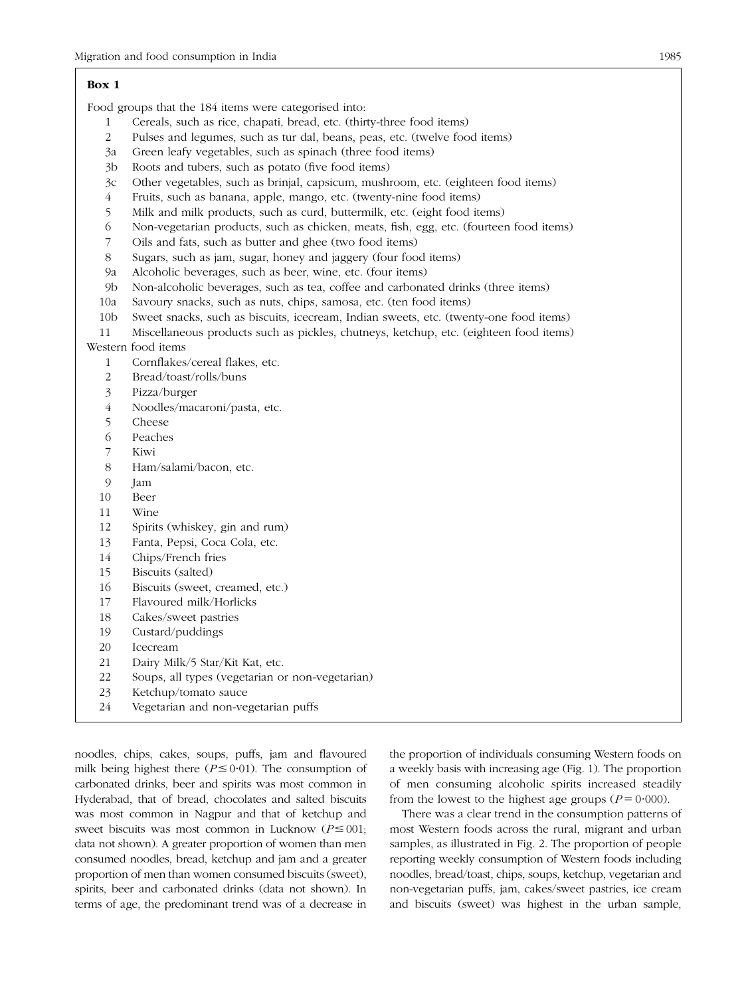## Box 1

Food groups that the 184 items were categorised into:

- 1 Cereals, such as rice, chapati, bread, etc. (thirty-three food items)
- 2 Pulses and legumes, such as tur dal, beans, peas, etc. (twelve food items)
- 3a Green leafy vegetables, such as spinach (three food items)
- 3b Roots and tubers, such as potato (five food items)
- 3c Other vegetables, such as brinjal, capsicum, mushroom, etc. (eighteen food items)
- 4 Fruits, such as banana, apple, mango, etc. (twenty-nine food items)
- 5 Milk and milk products, such as curd, buttermilk, etc. (eight food items)
- 6 Non-vegetarian products, such as chicken, meats, fish, egg, etc. (fourteen food items)
- 7 Oils and fats, such as butter and ghee (two food items)
- 8 Sugars, such as jam, sugar, honey and jaggery (four food items)
- 9a Alcoholic beverages, such as beer, wine, etc. (four items)
- 9b Non-alcoholic beverages, such as tea, coffee and carbonated drinks (three items)
- 10a Savoury snacks, such as nuts, chips, samosa, etc. (ten food items)
- 10b Sweet snacks, such as biscuits, icecream, Indian sweets, etc. (twenty-one food items)
- 11 Miscellaneous products such as pickles, chutneys, ketchup, etc. (eighteen food items)

## Western food items

- 1 Cornflakes/cereal flakes, etc.
- 2 Bread/toast/rolls/buns
- 3 Pizza/burger
- 4 Noodles/macaroni/pasta, etc.
- 5 Cheese
- 6 Peaches
- 7 Kiwi
- 8 Ham/salami/bacon, etc.
- 9 Jam
- 10 Beer
- 11 Wine
- 12 Spirits (whiskey, gin and rum)
- 13 Fanta, Pepsi, Coca Cola, etc.
- 14 Chips/French fries
- 15 Biscuits (salted)
- 16 Biscuits (sweet, creamed, etc.)
- 17 Flavoured milk/Horlicks
- 18 Cakes/sweet pastries
- 19 Custard/puddings
- 20 Icecream
- 21 Dairy Milk/5 Star/Kit Kat, etc.
- 22 Soups, all types (vegetarian or non-vegetarian)
- 23 Ketchup/tomato sauce
- 24 Vegetarian and non-vegetarian puffs

noodles, chips, cakes, soups, puffs, jam and flavoured milk being highest there ( $P \le 0.01$ ). The consumption of carbonated drinks, beer and spirits was most common in Hyderabad, that of bread, chocolates and salted biscuits was most common in Nagpur and that of ketchup and sweet biscuits was most common in Lucknow ( $P \le 001$ ; data not shown). A greater proportion of women than men consumed noodles, bread, ketchup and jam and a greater proportion of men than women consumed biscuits (sweet), spirits, beer and carbonated drinks (data not shown). In terms of age, the predominant trend was of a decrease in the proportion of individuals consuming Western foods on a weekly basis with increasing age (Fig. 1). The proportion of men consuming alcoholic spirits increased steadily from the lowest to the highest age groups ( $P = 0.000$ ).

There was a clear trend in the consumption patterns of most Western foods across the rural, migrant and urban samples, as illustrated in Fig. 2. The proportion of people reporting weekly consumption of Western foods including noodles, bread/toast, chips, soups, ketchup, vegetarian and non-vegetarian puffs, jam, cakes/sweet pastries, ice cream and biscuits (sweet) was highest in the urban sample,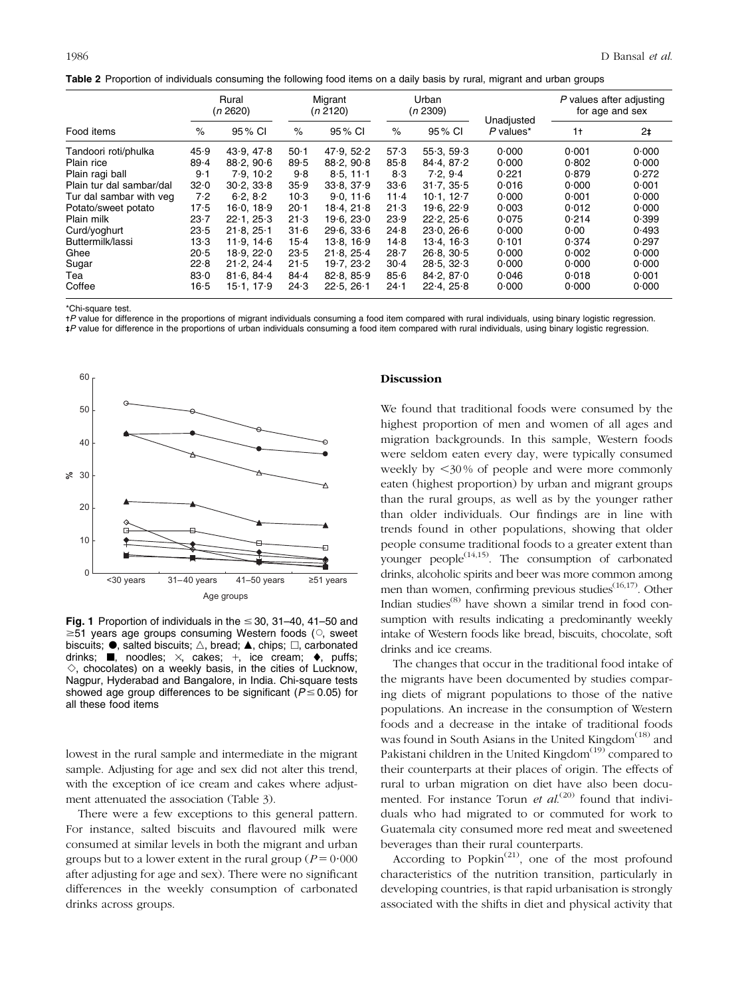|  | Table 2 Proportion of individuals consuming the following food items on a daily basis by rural, migrant and urban groups |  |  |
|--|--------------------------------------------------------------------------------------------------------------------------|--|--|
|--|--------------------------------------------------------------------------------------------------------------------------|--|--|

| Food items               | Rural<br>(n 2620) |            | Migrant<br>(n 2120) |            | Urban<br>(n 2309) |            |                           | P values after adjusting<br>for age and sex |       |
|--------------------------|-------------------|------------|---------------------|------------|-------------------|------------|---------------------------|---------------------------------------------|-------|
|                          | $\%$              | 95 % CI    | $\%$                | 95 % CI    | $\%$              | 95 % CI    | Unadjusted<br>$P$ values* | 1 <sup>†</sup>                              | $2+$  |
| Tandoori roti/phulka     | 45.9              | 43.9.47.8  | $50 - 1$            | 47.9.52.2  | 57.3              | 55.3.59.3  | 0.000                     | 0.001                                       | 0.000 |
| Plain rice               | 89.4              | 88.2.906   | 89.5                | 88.2.90.8  | 85.8              | 84.4.87.2  | 0.000                     | 0.802                                       | 0.000 |
| Plain ragi ball          | $9-1$             | 7.9.10.2   | 9.8                 | $8.5.11-1$ | 8.3               | 7.2.9.4    | 0.221                     | 0.879                                       | 0.272 |
| Plain tur dal sambar/dal | 32.0              | 30.2.33.8  | 35.9                | 33.8, 37.9 | 33.6              | 31.7.35.5  | 0.016                     | 0.000                                       | 0.001 |
| Tur dal sambar with yeg  | 7.2               | 6.2.8.2    | $10-3$              | 9.0.116    | $11 - 4$          | 10.1.12.7  | 0.000                     | 0.001                                       | 0.000 |
| Potato/sweet potato      | 17.5              | 16.0.18.9  | $20 - 1$            | 18.4, 21.8 | 21.3              | 19.6.22.9  | 0.003                     | 0.012                                       | 0.000 |
| Plain milk               | $23 - 7$          | 22.1, 25.3 | 21.3                | 19.6.23.0  | 23.9              | 22.2, 25.6 | 0.075                     | 0.214                                       | 0.399 |
| Curd/yoghurt             | 23.5              | 21.8.25.1  | 31.6                | 29.6.33.6  | 24.8              | 23.0.266   | 0.000                     | 0.00                                        | 0.493 |
| Buttermilk/lassi         | $13-3$            | 11.9.146   | $15-4$              | 13.8.16.9  | 14.8              | 13.4.16.3  | 0.101                     | 0.374                                       | 0.297 |
| Ghee                     | 20.5              | 18.9, 22.0 | 23.5                | 21.8.25.4  | $28 - 7$          | 26.8.30.5  | 0.000                     | 0.002                                       | 0.000 |
| Sugar                    | 22.8              | 21.2.24.4  | 21.5                | 19.7.23.2  | $30 - 4$          | 28.5.32.3  | 0.000                     | 0.000                                       | 0.000 |
| Tea                      | 83.0              | 81.6.84.4  | 84.4                | 82.8, 85.9 | 85.6              | 84.2.870   | 0.046                     | 0.018                                       | 0.001 |
| Coffee                   | $16-5$            | 15.1, 17.9 | 24.3                | 22.5, 26.1 | $24 - 1$          | 22.4, 25.8 | 0.000                     | 0.000                                       | 0.000 |

\*Chi-square test.

-P value for difference in the proportions of migrant individuals consuming a food item compared with rural individuals, using binary logistic regression. - - P value for difference in the proportions of urban individuals consuming a food item compared with rural individuals, using binary logistic regression.



Fig. 1 Proportion of individuals in the  $\leq$  30, 31–40, 41–50 and  $\geq$ 51 years age groups consuming Western foods ( $\circ$ , sweet biscuits;  $\bullet$ , salted biscuits;  $\triangle$ , bread;  $\blacktriangle$ , chips;  $\Box$ , carbonated drinks;  $\blacksquare$ , noodles;  $\times$ , cakes;  $+$ , ice cream;  $\blacklozenge$ , puffs;  $\Diamond$ , chocolates) on a weekly basis, in the cities of Lucknow, Nagpur, Hyderabad and Bangalore, in India. Chi-square tests showed age group differences to be significant ( $P \le 0.05$ ) for all these food items

lowest in the rural sample and intermediate in the migrant sample. Adjusting for age and sex did not alter this trend, with the exception of ice cream and cakes where adjustment attenuated the association (Table 3).

There were a few exceptions to this general pattern. For instance, salted biscuits and flavoured milk were consumed at similar levels in both the migrant and urban groups but to a lower extent in the rural group ( $P = 0.000$ ) after adjusting for age and sex). There were no significant differences in the weekly consumption of carbonated drinks across groups.

#### Discussion

We found that traditional foods were consumed by the highest proportion of men and women of all ages and migration backgrounds. In this sample, Western foods were seldom eaten every day, were typically consumed weekly by  $<30\%$  of people and were more commonly eaten (highest proportion) by urban and migrant groups than the rural groups, as well as by the younger rather than older individuals. Our findings are in line with trends found in other populations, showing that older people consume traditional foods to a greater extent than younger people<sup> $(14,15)$ </sup>. The consumption of carbonated drinks, alcoholic spirits and beer was more common among men than women, confirming previous studies $(16,17)$ . Other Indian studies $^{(8)}$  have shown a similar trend in food consumption with results indicating a predominantly weekly intake of Western foods like bread, biscuits, chocolate, soft drinks and ice creams.

The changes that occur in the traditional food intake of the migrants have been documented by studies comparing diets of migrant populations to those of the native populations. An increase in the consumption of Western foods and a decrease in the intake of traditional foods was found in South Asians in the United Kingdom $(18)$  and Pakistani children in the United Kingdom<sup>(19)</sup> compared to their counterparts at their places of origin. The effects of rural to urban migration on diet have also been documented. For instance Torun *et al.*<sup>(20)</sup> found that individuals who had migrated to or commuted for work to Guatemala city consumed more red meat and sweetened beverages than their rural counterparts.

According to Popkin<sup> $(21)$ </sup>, one of the most profound characteristics of the nutrition transition, particularly in developing countries, is that rapid urbanisation is strongly associated with the shifts in diet and physical activity that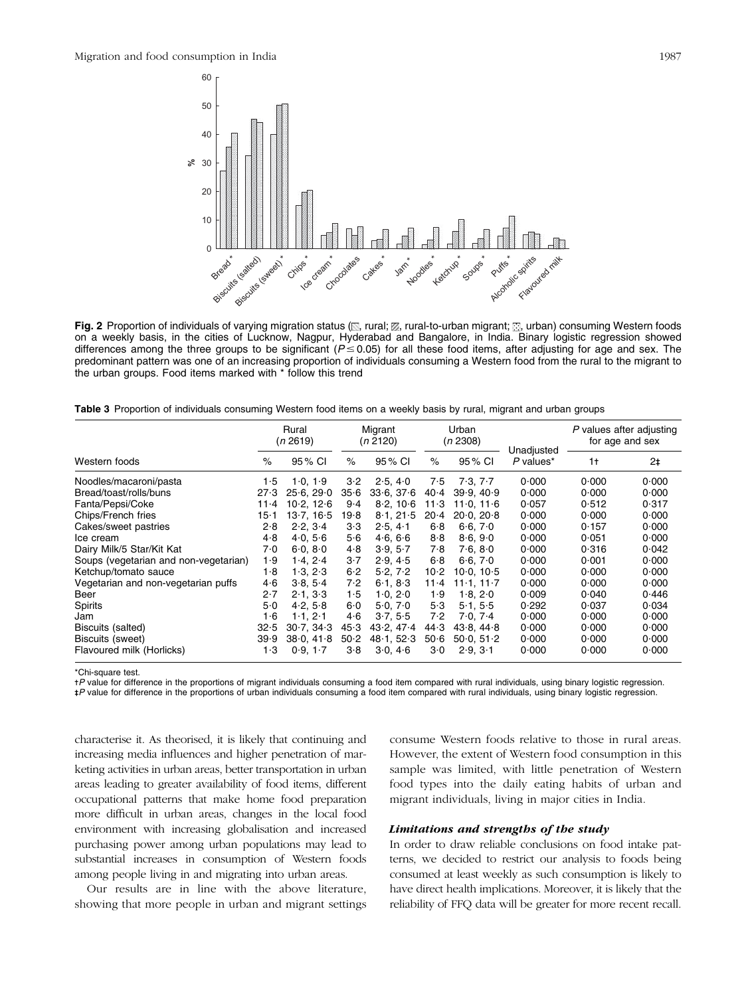

Fig. 2 Proportion of individuals of varying migration status ( $\mathbb{N}$ , rural;  $\mathbb{Z}$ , rural-to-urban migrant;  $\mathbb{E}$ , urban) consuming Western foods on a weekly basis, in the cities of Lucknow, Nagpur, Hyderabad and Bangalore, in India. Binary logistic regression showed differences among the three groups to be significant ( $P \le 0.05$ ) for all these food items, after adjusting for age and sex. The predominant pattern was one of an increasing proportion of individuals consuming a Western food from the rural to the migrant to the urban groups. Food items marked with \* follow this trend

Table 3 Proportion of individuals consuming Western food items on a weekly basis by rural, migrant and urban groups

| Western foods                         |          | Rural<br>(n 2619) |       | Migrant<br>(n 2120) |          | Urban<br>(n 2308)           | Unadjusted  | P values after adjusting<br>for age and sex |                |
|---------------------------------------|----------|-------------------|-------|---------------------|----------|-----------------------------|-------------|---------------------------------------------|----------------|
|                                       |          | 95 % CI           | $\%$  | 95 % CI             | $\%$     | 95 % CI                     | $P$ values* | 1†                                          | 2 <sub>1</sub> |
| Noodles/macaroni/pasta                | 1·5      | 1.0, 1.9          | 3.2   | 2.5, 4.0            | 7.5      | 7.3, 7.7                    | 0.000       | 0.000                                       | 0.000          |
| Bread/toast/rolls/buns                | 27.3     | 25.6.29.0         | 35.6  | 33.6.37.6           | 40.4     | 39.9.40.9                   | 0.000       | 0.000                                       | 0.000          |
| Fanta/Pepsi/Coke                      | $11 - 4$ | 10.2, 12.6        | $9-4$ | 8.2.106             | 11.3     | 11.0.116                    | 0.057       | 0.512                                       | 0.317          |
| Chips/French fries                    | $15-1$   | 13.7, 16.5        | 19.8  | 8.1, 21.5           | $20 - 4$ | $20.0$ , $20.8$             | 0.000       | 0.000                                       | 0.000          |
| Cakes/sweet pastries                  | 2.8      | 2.2, 3.4          | 3·3   | 2.5.4.1             | 6.8      | 6.6, 7.0                    | 0.000       | 0.157                                       | 0.000          |
| Ice cream                             | 4.8      | 4.0.56            | 5.6   | 4.6.66              | 8.8      | 8.6.9.0                     | 0.000       | 0.051                                       | 0.000          |
| Dairy Milk/5 Star/Kit Kat             | 7.0      | 6.0, 8.0          | 4.8   | 3.9.5.7             | 7.8      | 7.6.80                      | 0.000       | 0.316                                       | 0.042          |
| Soups (vegetarian and non-vegetarian) | 1.9      | 1.4, 2.4          | $3-7$ | 2.9.4.5             | 6.8      | 6.6.70                      | 0.000       | 0.001                                       | 0.000          |
| Ketchup/tomato sauce                  | 1.8      | 1.3.2.3           | 6.2   | 5.2, 7.2            | $10 - 2$ | 10.0.10.5                   | 0.000       | 0.000                                       | 0.000          |
| Vegetarian and non-vegetarian puffs   | 4·6      | 3.8, 5.4          | 7.2   | 6.1.8.3             | $11 - 4$ | $11 \cdot 1$ . $11 \cdot 7$ | 0.000       | 0.000                                       | 0.000          |
| Beer                                  | 2.7      | 2.1.33            | 1.5   | 1.0, 2.0            | 1.9      | 1.8.20                      | 0.009       | 0.040                                       | 0.446          |
| Spirits                               | 5.0      | 4.2, 5.8          | 6.0   | 5.0, 7.0            | 5.3      | 5.1.5.5                     | 0.292       | 0.037                                       | 0.034          |
| Jam                                   | 1·6      | 1.1, 2.1          | 4·6   | 3.7, 5.5            | 7.2      | 7.0, 7.4                    | 0.000       | 0.000                                       | 0.000          |
| Biscuits (salted)                     | 32.5     | 30.7.34.3         | 45.3  | 43.2, 47.4          | 44.3     | 43.8, 44.8                  | 0.000       | 0.000                                       | 0.000          |
| Biscuits (sweet)                      | 39.9     | 38.0.41.8         | 50.2  | 48.1.52.3           | 50.6     | 50.0.51.2                   | 0.000       | 0.000                                       | 0.000          |
| Flavoured milk (Horlicks)             | 1·3      | 0.9, 1.7          | 3.8   | 3.0, 4.6            | 3.0      | 2.9, 3.1                    | 0.000       | 0.000                                       | 0.000          |

\*Chi-square test.

+P value for difference in the proportions of migrant individuals consuming a food item compared with rural individuals, using binary logistic regression.

- - P value for difference in the proportions of urban individuals consuming a food item compared with rural individuals, using binary logistic regression.

characterise it. As theorised, it is likely that continuing and increasing media influences and higher penetration of marketing activities in urban areas, better transportation in urban areas leading to greater availability of food items, different occupational patterns that make home food preparation more difficult in urban areas, changes in the local food environment with increasing globalisation and increased purchasing power among urban populations may lead to substantial increases in consumption of Western foods among people living in and migrating into urban areas.

Our results are in line with the above literature, showing that more people in urban and migrant settings consume Western foods relative to those in rural areas. However, the extent of Western food consumption in this sample was limited, with little penetration of Western food types into the daily eating habits of urban and migrant individuals, living in major cities in India.

#### Limitations and strengths of the study

In order to draw reliable conclusions on food intake patterns, we decided to restrict our analysis to foods being consumed at least weekly as such consumption is likely to have direct health implications. Moreover, it is likely that the reliability of FFQ data will be greater for more recent recall.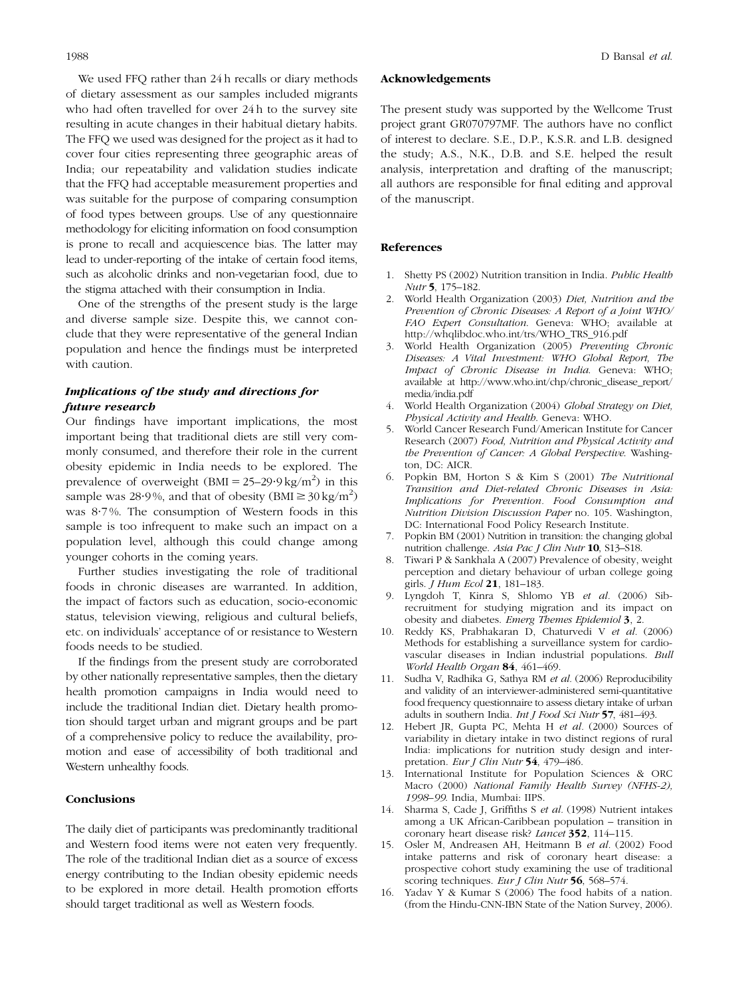We used FFQ rather than 24 h recalls or diary methods of dietary assessment as our samples included migrants who had often travelled for over 24 h to the survey site resulting in acute changes in their habitual dietary habits. The FFQ we used was designed for the project as it had to cover four cities representing three geographic areas of India; our repeatability and validation studies indicate that the FFQ had acceptable measurement properties and was suitable for the purpose of comparing consumption of food types between groups. Use of any questionnaire methodology for eliciting information on food consumption is prone to recall and acquiescence bias. The latter may lead to under-reporting of the intake of certain food items, such as alcoholic drinks and non-vegetarian food, due to the stigma attached with their consumption in India.

One of the strengths of the present study is the large and diverse sample size. Despite this, we cannot conclude that they were representative of the general Indian population and hence the findings must be interpreted with caution.

# Implications of the study and directions for future research

Our findings have important implications, the most important being that traditional diets are still very commonly consumed, and therefore their role in the current obesity epidemic in India needs to be explored. The prevalence of overweight  $(BMI = 25-29.9 \text{ kg/m}^2)$  in this sample was 28.9%, and that of obesity  $(BMI \ge 30 \text{ kg/m}^2)$ was 8.7%. The consumption of Western foods in this sample is too infrequent to make such an impact on a population level, although this could change among younger cohorts in the coming years.

Further studies investigating the role of traditional foods in chronic diseases are warranted. In addition, the impact of factors such as education, socio-economic status, television viewing, religious and cultural beliefs, etc. on individuals' acceptance of or resistance to Western foods needs to be studied.

If the findings from the present study are corroborated by other nationally representative samples, then the dietary health promotion campaigns in India would need to include the traditional Indian diet. Dietary health promotion should target urban and migrant groups and be part of a comprehensive policy to reduce the availability, promotion and ease of accessibility of both traditional and Western unhealthy foods.

## **Conclusions**

The daily diet of participants was predominantly traditional and Western food items were not eaten very frequently. The role of the traditional Indian diet as a source of excess energy contributing to the Indian obesity epidemic needs to be explored in more detail. Health promotion efforts should target traditional as well as Western foods.

#### Acknowledgements

The present study was supported by the Wellcome Trust project grant GR070797MF. The authors have no conflict of interest to declare. S.E., D.P., K.S.R. and L.B. designed the study; A.S., N.K., D.B. and S.E. helped the result analysis, interpretation and drafting of the manuscript; all authors are responsible for final editing and approval of the manuscript.

## References

- 1. Shetty PS (2002) Nutrition transition in India. Public Health Nutr 5, 175–182.
- 2. World Health Organization (2003) Diet, Nutrition and the Prevention of Chronic Diseases: A Report of a Joint WHO/ FAO Expert Consultation. Geneva: WHO; available at http://whqlibdoc.who.int/trs/WHO\_TRS\_916.pdf
- 3. World Health Organization (2005) Preventing Chronic Diseases: A Vital Investment: WHO Global Report, The Impact of Chronic Disease in India. Geneva: WHO; available at http://www.who.int/chp/chronic\_disease\_report/ media/india.pdf
- 4. World Health Organization (2004) Global Strategy on Diet, Physical Activity and Health. Geneva: WHO.
- 5. World Cancer Research Fund/American Institute for Cancer Research (2007) Food, Nutrition and Physical Activity and the Prevention of Cancer: A Global Perspective. Washington, DC: AICR.
- 6. Popkin BM, Horton S & Kim S (2001) The Nutritional Transition and Diet-related Chronic Diseases in Asia: Implications for Prevention. Food Consumption and Nutrition Division Discussion Paper no. 105. Washington, DC: International Food Policy Research Institute.
- 7. Popkin BM (2001) Nutrition in transition: the changing global nutrition challenge. Asia Pac J Clin Nutr 10, S13–S18.
- 8. Tiwari P & Sankhala A (2007) Prevalence of obesity, weight perception and dietary behaviour of urban college going girls. J Hum Ecol 21, 181–183.
- 9. Lyngdoh T, Kinra S, Shlomo YB et al. (2006) Sibrecruitment for studying migration and its impact on obesity and diabetes. Emerg Themes Epidemiol 3, 2.
- 10. Reddy KS, Prabhakaran D, Chaturvedi V et al. (2006) Methods for establishing a surveillance system for cardiovascular diseases in Indian industrial populations. Bull World Health Organ 84, 461–469.
- 11. Sudha V, Radhika G, Sathya RM et al. (2006) Reproducibility and validity of an interviewer-administered semi-quantitative food frequency questionnaire to assess dietary intake of urban adults in southern India. Int J Food Sci Nutr 57, 481–493.
- Hebert JR, Gupta PC, Mehta H et al. (2000) Sources of variability in dietary intake in two distinct regions of rural India: implications for nutrition study design and interpretation. Eur J Clin Nutr 54, 479-486.
- 13. International Institute for Population Sciences & ORC Macro (2000) National Family Health Survey (NFHS-2), 1998–99. India, Mumbai: IIPS.
- 14. Sharma S, Cade J, Griffiths S et al. (1998) Nutrient intakes among a UK African-Caribbean population – transition in coronary heart disease risk? Lancet 352, 114–115.
- 15. Osler M, Andreasen AH, Heitmann B et al. (2002) Food intake patterns and risk of coronary heart disease: a prospective cohort study examining the use of traditional scoring techniques. Eur J Clin Nutr 56, 568-574.
- 16. Yadav Y & Kumar S (2006) The food habits of a nation. (from the Hindu-CNN-IBN State of the Nation Survey, 2006).